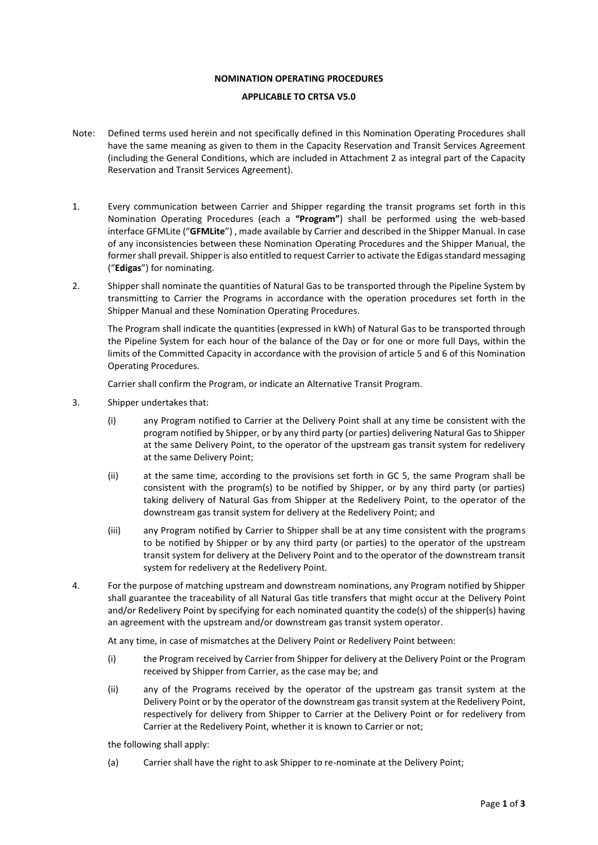### **NOMINATION OPERATING PROCEDURES**

# **APPLICABLE TO CRTSA V5.0**

- Note: Defined terms used herein and not specifically defined in this Nomination Operating Procedures shall have the same meaning as given to them in the Capacity Reservation and Transit Services Agreement (including the General Conditions, which are included in Attachment 2 as integral part of the Capacity Reservation and Transit Services Agreement).
- 1. Every communication between Carrier and Shipper regarding the transit programs set forth in this Nomination Operating Procedures (each a **"Program"**) shall be performed using the web-based interface GFMLite ("**GFMLite**") , made available by Carrier and described in the Shipper Manual. In case of any inconsistencies between these Nomination Operating Procedures and the Shipper Manual, the former shall prevail. Shipper is also entitled to request Carrier to activate the Edigas standard messaging ("**Edigas**") for nominating.
- 2. Shipper shall nominate the quantities of Natural Gas to be transported through the Pipeline System by transmitting to Carrier the Programs in accordance with the operation procedures set forth in the Shipper Manual and these Nomination Operating Procedures.

The Program shall indicate the quantities (expressed in kWh) of Natural Gas to be transported through the Pipeline System for each hour of the balance of the Day or for one or more full Days, within the limits of the Committed Capacity in accordance with the provision of article 5 and 6 of this Nomination Operating Procedures.

Carrier shall confirm the Program, or indicate an Alternative Transit Program.

- 3. Shipper undertakes that:
	- (i) any Program notified to Carrier at the Delivery Point shall at any time be consistent with the program notified by Shipper, or by any third party (or parties) delivering Natural Gas to Shipper at the same Delivery Point, to the operator of the upstream gas transit system for redelivery at the same Delivery Point;
	- (ii) at the same time, according to the provisions set forth in GC 5, the same Program shall be consistent with the program(s) to be notified by Shipper, or by any third party (or parties) taking delivery of Natural Gas from Shipper at the Redelivery Point, to the operator of the downstream gas transit system for delivery at the Redelivery Point; and
	- (iii) any Program notified by Carrier to Shipper shall be at any time consistent with the programs to be notified by Shipper or by any third party (or parties) to the operator of the upstream transit system for delivery at the Delivery Point and to the operator of the downstream transit system for redelivery at the Redelivery Point.
- 4. For the purpose of matching upstream and downstream nominations, any Program notified by Shipper shall guarantee the traceability of all Natural Gas title transfers that might occur at the Delivery Point and/or Redelivery Point by specifying for each nominated quantity the code(s) of the shipper(s) having an agreement with the upstream and/or downstream gas transit system operator.

At any time, in case of mismatches at the Delivery Point or Redelivery Point between:

- (i) the Program received by Carrier from Shipper for delivery at the Delivery Point or the Program received by Shipper from Carrier, as the case may be; and
- (ii) any of the Programs received by the operator of the upstream gas transit system at the Delivery Point or by the operator of the downstream gas transit system at the Redelivery Point, respectively for delivery from Shipper to Carrier at the Delivery Point or for redelivery from Carrier at the Redelivery Point, whether it is known to Carrier or not;

the following shall apply:

(a) Carrier shall have the right to ask Shipper to re-nominate at the Delivery Point;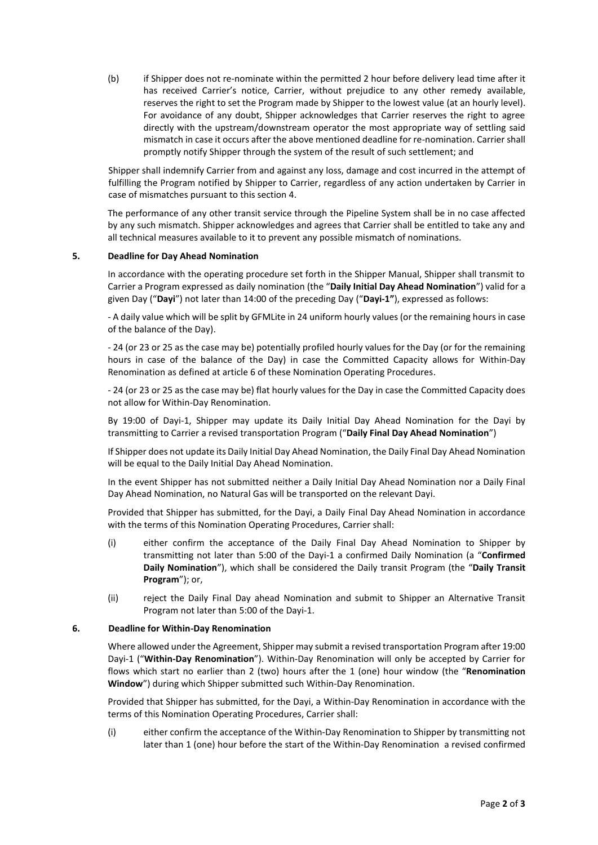(b) if Shipper does not re-nominate within the permitted 2 hour before delivery lead time after it has received Carrier's notice, Carrier, without prejudice to any other remedy available, reserves the right to set the Program made by Shipper to the lowest value (at an hourly level). For avoidance of any doubt, Shipper acknowledges that Carrier reserves the right to agree directly with the upstream/downstream operator the most appropriate way of settling said mismatch in case it occurs after the above mentioned deadline for re-nomination. Carrier shall promptly notify Shipper through the system of the result of such settlement; and

Shipper shall indemnify Carrier from and against any loss, damage and cost incurred in the attempt of fulfilling the Program notified by Shipper to Carrier, regardless of any action undertaken by Carrier in case of mismatches pursuant to this section 4.

The performance of any other transit service through the Pipeline System shall be in no case affected by any such mismatch. Shipper acknowledges and agrees that Carrier shall be entitled to take any and all technical measures available to it to prevent any possible mismatch of nominations.

### **5. Deadline for Day Ahead Nomination**

In accordance with the operating procedure set forth in the Shipper Manual, Shipper shall transmit to Carrier a Program expressed as daily nomination (the "**Daily Initial Day Ahead Nomination**") valid for a given Day ("**Dayi**") not later than 14:00 of the preceding Day ("**Dayi-1"**), expressed as follows:

- A daily value which will be split by GFMLite in 24 uniform hourly values (or the remaining hours in case of the balance of the Day).

- 24 (or 23 or 25 as the case may be) potentially profiled hourly values for the Day (or for the remaining hours in case of the balance of the Day) in case the Committed Capacity allows for Within-Day Renomination as defined at article 6 of these Nomination Operating Procedures.

- 24 (or 23 or 25 as the case may be) flat hourly values for the Day in case the Committed Capacity does not allow for Within-Day Renomination.

By 19:00 of Dayi-1, Shipper may update its Daily Initial Day Ahead Nomination for the Dayi by transmitting to Carrier a revised transportation Program ("**Daily Final Day Ahead Nomination**")

If Shipper does not update its Daily Initial Day Ahead Nomination, the Daily Final Day Ahead Nomination will be equal to the Daily Initial Day Ahead Nomination.

In the event Shipper has not submitted neither a Daily Initial Day Ahead Nomination nor a Daily Final Day Ahead Nomination, no Natural Gas will be transported on the relevant Dayi.

Provided that Shipper has submitted, for the Dayi, a Daily Final Day Ahead Nomination in accordance with the terms of this Nomination Operating Procedures, Carrier shall:

- (i) either confirm the acceptance of the Daily Final Day Ahead Nomination to Shipper by transmitting not later than 5:00 of the Dayi-1 a confirmed Daily Nomination (a "**Confirmed Daily Nomination**"), which shall be considered the Daily transit Program (the "**Daily Transit Program**"); or,
- (ii) reject the Daily Final Day ahead Nomination and submit to Shipper an Alternative Transit Program not later than 5:00 of the Dayi-1.

#### **6. Deadline for Within-Day Renomination**

Where allowed under the Agreement, Shipper may submit a revised transportation Program after 19:00 Dayi-1 ("**Within-Day Renomination**"). Within-Day Renomination will only be accepted by Carrier for flows which start no earlier than 2 (two) hours after the 1 (one) hour window (the "**Renomination Window**") during which Shipper submitted such Within-Day Renomination.

Provided that Shipper has submitted, for the Dayi, a Within-Day Renomination in accordance with the terms of this Nomination Operating Procedures, Carrier shall:

(i) either confirm the acceptance of the Within-Day Renomination to Shipper by transmitting not later than 1 (one) hour before the start of the Within-Day Renomination a revised confirmed